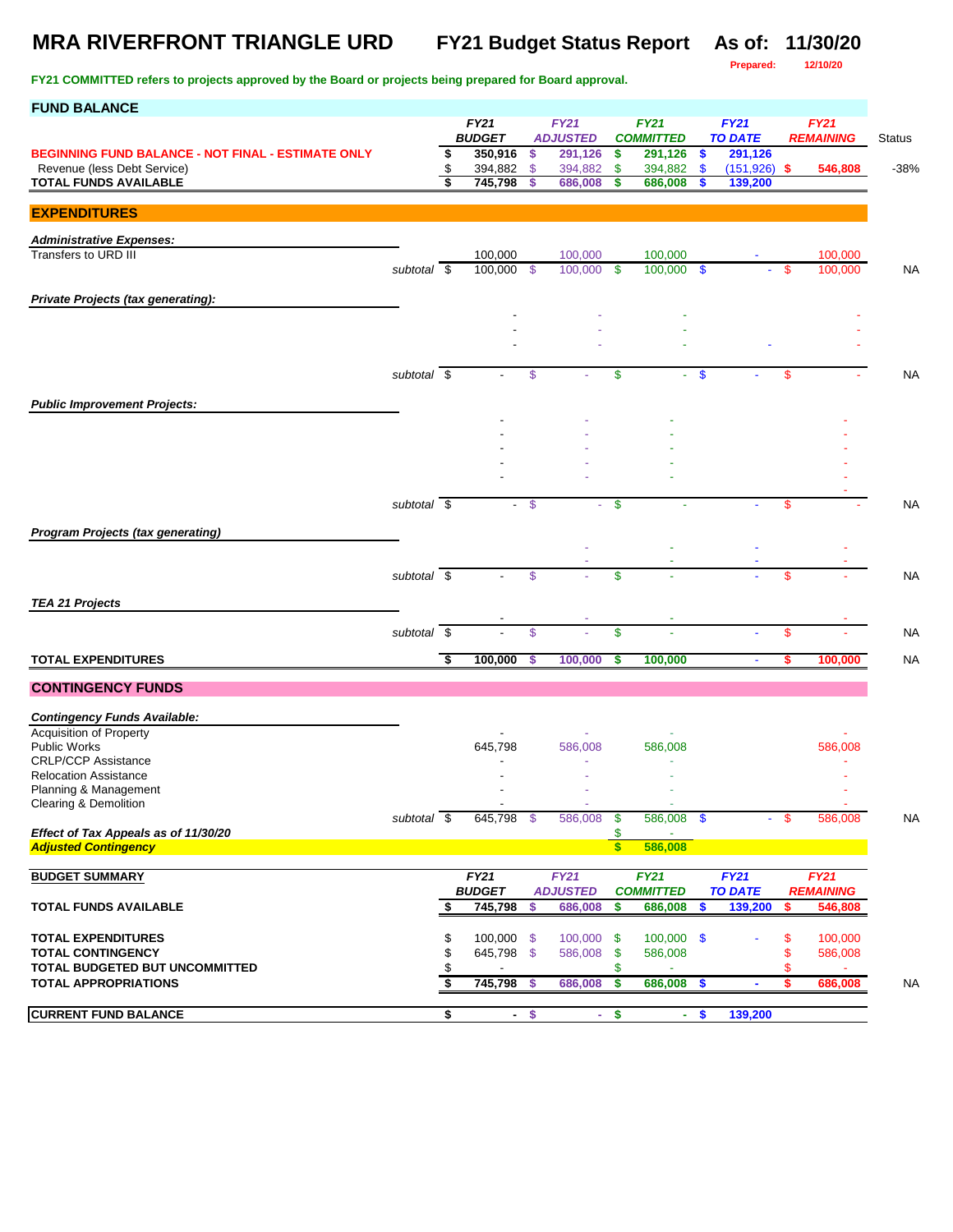## **MRA RIVERFRONT TRIANGLE URD FY21 Budget Status Report As of: 11/30/20**

**Prepared: 12/10/20**

| <b>FUND BALANCE</b>                                                 |                          |          |                              |        |                                |                    |                                 |                   |                               |         |                                 |               |
|---------------------------------------------------------------------|--------------------------|----------|------------------------------|--------|--------------------------------|--------------------|---------------------------------|-------------------|-------------------------------|---------|---------------------------------|---------------|
|                                                                     |                          |          | <b>FY21</b><br><b>BUDGET</b> |        | <b>FY21</b><br><b>ADJUSTED</b> |                    | <b>FY21</b><br><b>COMMITTED</b> |                   | <b>FY21</b><br><b>TO DATE</b> |         | <b>FY21</b><br><b>REMAINING</b> | <b>Status</b> |
| <b>BEGINNING FUND BALANCE - NOT FINAL - ESTIMATE ONLY</b>           |                          | \$       | 350,916                      | \$     | 291,126                        | \$                 | 291,126                         | \$                | 291,126                       |         |                                 |               |
| Revenue (less Debt Service)                                         |                          | \$       | 394,882                      | \$     | 394,882                        | \$                 | 394,882                         | $\mathbf{\$}$     | $(151, 926)$ \$               |         | 546,808                         | $-38%$        |
| <b>TOTAL FUNDS AVAILABLE</b>                                        |                          | \$       | 745,798                      | \$     | 686,008                        | S                  | 686,008                         | S                 | 139,200                       |         |                                 |               |
| <b>EXPENDITURES</b>                                                 |                          |          |                              |        |                                |                    |                                 |                   |                               |         |                                 |               |
| <b>Administrative Expenses:</b>                                     |                          |          |                              |        |                                |                    |                                 |                   |                               |         |                                 |               |
| Transfers to URD III                                                |                          |          | 100,000                      |        | 100,000                        |                    | 100,000                         |                   |                               |         | 100,000                         |               |
|                                                                     | subtotal $\overline{\$}$ |          | 100.000                      | - \$   | 100,000                        | \$                 | 100,000                         | $\mathbf{\$}$     |                               | \$.     | 100,000                         | NA            |
| Private Projects (tax generating):                                  |                          |          |                              |        |                                |                    |                                 |                   |                               |         |                                 |               |
|                                                                     |                          |          |                              |        |                                |                    |                                 |                   |                               |         |                                 |               |
|                                                                     |                          |          |                              |        |                                |                    |                                 |                   |                               |         |                                 |               |
|                                                                     |                          |          |                              |        |                                |                    |                                 |                   |                               |         |                                 |               |
|                                                                     | subtotal \$              |          |                              | \$     |                                | \$                 |                                 | $\boldsymbol{\$}$ |                               | \$      |                                 | <b>NA</b>     |
|                                                                     |                          |          |                              |        |                                |                    |                                 |                   |                               |         |                                 |               |
| <b>Public Improvement Projects:</b>                                 |                          |          |                              |        |                                |                    |                                 |                   |                               |         |                                 |               |
|                                                                     |                          |          |                              |        |                                |                    |                                 |                   |                               |         |                                 |               |
|                                                                     |                          |          |                              |        |                                |                    |                                 |                   |                               |         |                                 |               |
|                                                                     |                          |          |                              |        |                                |                    |                                 |                   |                               |         |                                 |               |
|                                                                     |                          |          |                              |        |                                |                    |                                 |                   |                               |         |                                 |               |
|                                                                     | subtotal \$              |          |                              | \$     |                                | \$                 |                                 |                   |                               | \$      |                                 | <b>NA</b>     |
| <b>Program Projects (tax generating)</b>                            |                          |          |                              |        |                                |                    |                                 |                   |                               |         |                                 |               |
|                                                                     |                          |          |                              |        |                                |                    |                                 |                   |                               |         |                                 |               |
|                                                                     | subtotal $\overline{\$}$ |          |                              | \$     |                                | \$                 |                                 |                   |                               | \$      |                                 | <b>NA</b>     |
| <b>TEA 21 Projects</b>                                              |                          |          |                              |        |                                |                    |                                 |                   |                               |         |                                 |               |
|                                                                     |                          |          |                              |        |                                |                    |                                 |                   |                               |         |                                 |               |
|                                                                     | subtotal $\overline{\$}$ |          |                              | \$     |                                | \$                 |                                 |                   |                               | \$      |                                 | <b>NA</b>     |
| <b>TOTAL EXPENDITURES</b>                                           |                          | \$       | 100,000                      | \$     | 100,000                        | s                  | 100,000                         |                   | $\blacksquare$                | \$      | 100,000                         | <b>NA</b>     |
| <b>CONTINGENCY FUNDS</b>                                            |                          |          |                              |        |                                |                    |                                 |                   |                               |         |                                 |               |
|                                                                     |                          |          |                              |        |                                |                    |                                 |                   |                               |         |                                 |               |
| <b>Contingency Funds Available:</b>                                 |                          |          |                              |        |                                |                    |                                 |                   |                               |         |                                 |               |
| <b>Acquisition of Property</b><br><b>Public Works</b>               |                          |          | 645,798                      |        | 586,008                        |                    | 586,008                         |                   |                               |         | 586,008                         |               |
| <b>CRLP/CCP Assistance</b>                                          |                          |          |                              |        |                                |                    |                                 |                   |                               |         |                                 |               |
| <b>Relocation Assistance</b><br>Planning & Management               |                          |          |                              |        |                                |                    |                                 |                   |                               |         |                                 |               |
| Clearing & Demolition                                               |                          |          |                              |        |                                |                    |                                 |                   |                               |         |                                 |               |
|                                                                     | subtotal $\sqrt{s}$      |          | 645,798 \$                   |        | 586,008                        | \$                 | 586,008 \$                      |                   |                               | - \$    | 586,008                         | <b>NA</b>     |
| Effect of Tax Appeals as of 11/30/20<br><b>Adjusted Contingency</b> |                          |          |                              |        |                                | \$<br>$\mathsf{s}$ | 586,008                         |                   |                               |         |                                 |               |
|                                                                     |                          |          |                              |        |                                |                    |                                 |                   |                               |         |                                 |               |
| <b>BUDGET SUMMARY</b>                                               |                          |          | FY21<br><b>BUDGET</b>        |        | <b>FY21</b>                    |                    | <b>FY21</b>                     |                   | FY21                          |         | <b>FY21</b><br><b>REMAINING</b> |               |
| <b>TOTAL FUNDS AVAILABLE</b>                                        |                          | \$       | 745,798                      | \$     | <b>ADJUSTED</b><br>686,008     | \$                 | <b>COMMITTED</b><br>686,008     | \$                | <b>TO DATE</b><br>139,200     | \$      | 546,808                         |               |
|                                                                     |                          |          |                              |        |                                |                    |                                 |                   |                               |         |                                 |               |
| <b>TOTAL EXPENDITURES</b>                                           |                          | \$       | 100,000 \$                   |        | 100,000 \$                     |                    | $100,000$ \$                    |                   |                               | \$      | 100,000                         |               |
| <b>TOTAL CONTINGENCY</b><br>TOTAL BUDGETED BUT UNCOMMITTED          |                          | \$<br>\$ | 645,798 \$                   |        | 586,008                        | \$<br>\$           | 586,008<br>٠                    |                   |                               | \$<br>S | 586,008<br>$\sim$               |               |
| <b>TOTAL APPROPRIATIONS</b>                                         |                          | \$       | 745,798                      | -\$    | 686,008                        | \$                 | 686,008                         | \$                | ٠                             | \$      | 686,008                         | <b>NA</b>     |
|                                                                     |                          |          |                              |        |                                |                    |                                 |                   |                               |         |                                 |               |
| <b>CURRENT FUND BALANCE</b>                                         |                          | \$       |                              | $-$ \$ |                                | $-$ \$             |                                 | $-$ \$            | 139,200                       |         |                                 |               |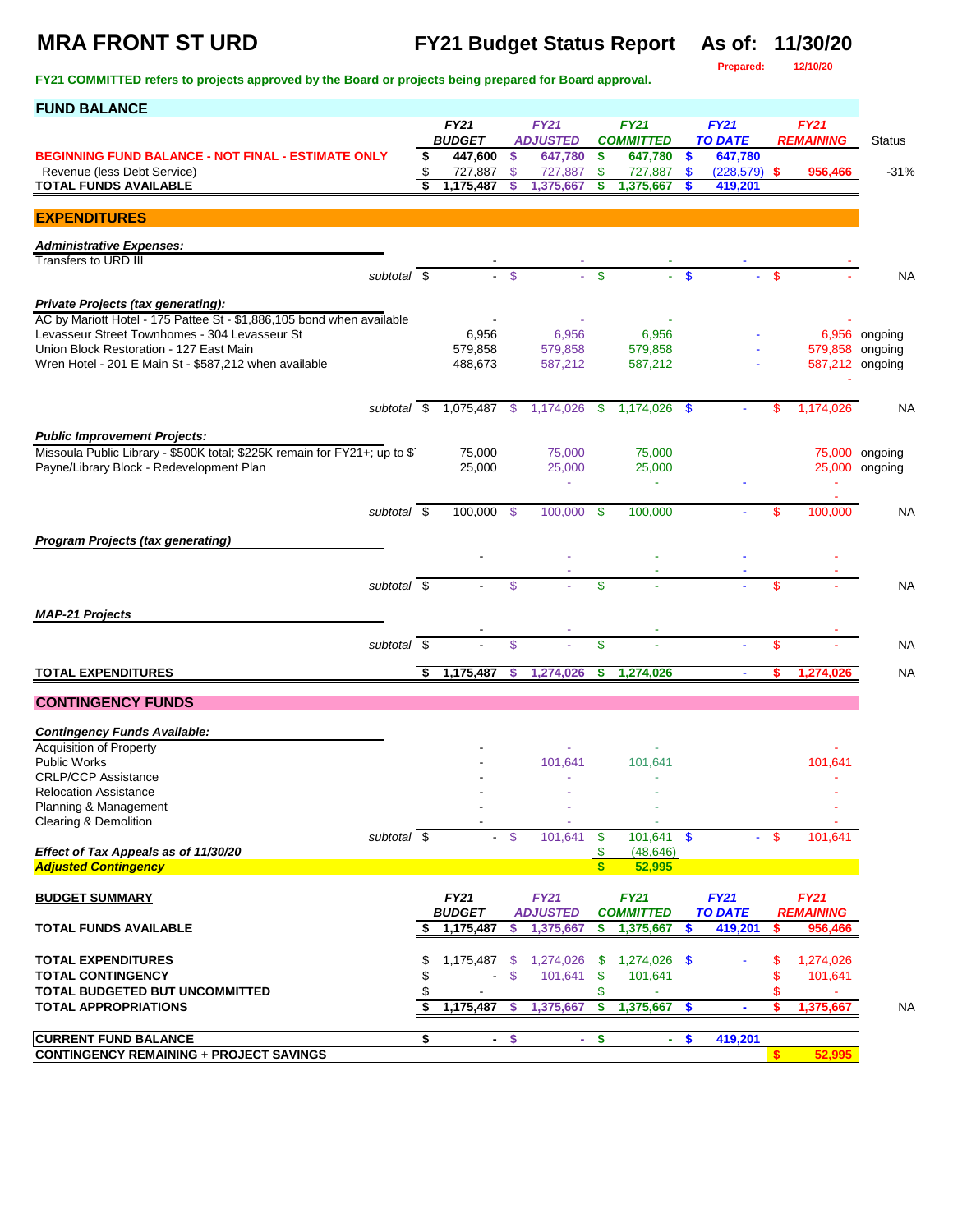## **MRA FRONT ST URD FY21 Budget Status Report As of: 11/30/20**

**Prepared: 12/10/20**

| <b>FUND BALANCE</b>                                                                                         |    |                              |                |                                |                               |                                 |                           |                               |        |                                 |                 |
|-------------------------------------------------------------------------------------------------------------|----|------------------------------|----------------|--------------------------------|-------------------------------|---------------------------------|---------------------------|-------------------------------|--------|---------------------------------|-----------------|
|                                                                                                             |    | <b>FY21</b><br><b>BUDGET</b> |                | <b>FY21</b><br><b>ADJUSTED</b> |                               | <b>FY21</b><br><b>COMMITTED</b> |                           | <b>FY21</b><br><b>TO DATE</b> |        | <b>FY21</b><br><b>REMAINING</b> | <b>Status</b>   |
| <b>BEGINNING FUND BALANCE - NOT FINAL - ESTIMATE ONLY</b>                                                   | \$ | 447,600                      | \$             | 647,780                        | \$                            | 647,780                         | $\boldsymbol{\mathsf{s}}$ | 647,780                       |        |                                 |                 |
| Revenue (less Debt Service)<br>TOTAL FUNDS AVAILABLE                                                        | \$ | 727,887<br>1,175,487         | \$<br>\$       | 727,887<br>1,375,667           | \$<br>\$                      | 727,887<br>1,375,667            | $\mathbf{\$}$             | $(228,579)$ \$<br>419,201     |        | 956,466                         | $-31%$          |
| <b>EXPENDITURES</b>                                                                                         |    |                              |                |                                |                               |                                 |                           |                               |        |                                 |                 |
| <b>Administrative Expenses:</b>                                                                             |    |                              |                |                                |                               |                                 |                           |                               |        |                                 |                 |
| Transfers to URD III<br>subtotal \$                                                                         |    |                              | \$             |                                | \$                            |                                 | \$                        |                               | \$.    |                                 | <b>NA</b>       |
|                                                                                                             |    |                              |                |                                |                               |                                 |                           |                               |        |                                 |                 |
| Private Projects (tax generating):<br>AC by Mariott Hotel - 175 Pattee St - \$1,886,105 bond when available |    |                              |                |                                |                               |                                 |                           |                               |        |                                 |                 |
| Levasseur Street Townhomes - 304 Levasseur St                                                               |    | 6,956                        |                | 6,956                          |                               | 6,956                           |                           |                               |        |                                 | 6,956 ongoing   |
| Union Block Restoration - 127 East Main<br>Wren Hotel - 201 E Main St - \$587,212 when available            |    | 579,858<br>488,673           |                | 579,858<br>587,212             |                               | 579,858<br>587,212              |                           |                               |        | 587,212 ongoing                 | 579,858 ongoing |
|                                                                                                             |    |                              |                |                                |                               |                                 |                           |                               |        |                                 |                 |
| subtotal \$                                                                                                 |    | 1,075,487 \$                 |                | 1,174,026                      | \$                            | 1,174,026                       | - \$                      |                               | \$.    | 1,174,026                       | NA              |
| <b>Public Improvement Projects:</b>                                                                         |    |                              |                |                                |                               |                                 |                           |                               |        |                                 |                 |
| Missoula Public Library - \$500K total; \$225K remain for FY21+; up to \$                                   |    | 75,000                       |                | 75,000                         |                               | 75,000                          |                           |                               |        |                                 | 75,000 ongoing  |
| Payne/Library Block - Redevelopment Plan                                                                    |    | 25,000                       |                | 25,000                         |                               | 25,000                          |                           |                               |        |                                 | 25,000 ongoing  |
| subtotal \$                                                                                                 |    | 100,000 \$                   |                | 100,000 \$                     |                               | 100,000                         |                           |                               | \$     | 100,000                         | NА              |
|                                                                                                             |    |                              |                |                                |                               |                                 |                           |                               |        |                                 |                 |
| <b>Program Projects (tax generating)</b>                                                                    |    |                              |                |                                |                               |                                 |                           |                               |        |                                 |                 |
|                                                                                                             |    |                              |                |                                |                               |                                 |                           |                               |        |                                 |                 |
| subtotal \$                                                                                                 |    |                              | \$             |                                | \$                            |                                 |                           |                               | \$     |                                 | <b>NA</b>       |
| <b>MAP-21 Projects</b>                                                                                      |    |                              |                |                                |                               |                                 |                           |                               |        |                                 |                 |
| subtotal $\overline{\$}$                                                                                    |    |                              | \$             |                                | \$                            |                                 |                           |                               | \$     |                                 | <b>NA</b>       |
| <b>TOTAL EXPENDITURES</b>                                                                                   |    | 1,175,487                    | \$             | 1,274,026                      | \$                            | 1,274,026                       |                           | ÷                             |        | 1,274,026                       | <b>NA</b>       |
| <b>CONTINGENCY FUNDS</b>                                                                                    |    |                              |                |                                |                               |                                 |                           |                               |        |                                 |                 |
| <b>Contingency Funds Available:</b>                                                                         |    |                              |                |                                |                               |                                 |                           |                               |        |                                 |                 |
| <b>Acquisition of Property</b>                                                                              |    |                              |                |                                |                               |                                 |                           |                               |        |                                 |                 |
| <b>Public Works</b><br><b>CRLP/CCP Assistance</b>                                                           |    |                              |                | 101,641                        |                               | 101,641                         |                           |                               |        | 101,641                         |                 |
| <b>Relocation Assistance</b>                                                                                |    |                              |                |                                |                               |                                 |                           |                               |        |                                 |                 |
| Planning & Management<br>Clearing & Demolition                                                              |    |                              |                |                                |                               |                                 |                           |                               |        |                                 |                 |
| subtotal \$                                                                                                 |    |                              | $\mathfrak{s}$ | 101,641                        | $\sqrt[6]{3}$                 | 101,641                         | $\mathbf{\$}$             |                               | $-$ \$ | 101,641                         |                 |
| Effect of Tax Appeals as of 11/30/20<br><b>Adjusted Contingency</b>                                         |    |                              |                |                                | \$<br>$\overline{\mathbf{s}}$ | (48, 646)<br>52,995             |                           |                               |        |                                 |                 |
|                                                                                                             |    | <b>FY21</b>                  |                | <b>FY21</b>                    |                               | <b>FY21</b>                     |                           | <b>FY21</b>                   |        |                                 |                 |
| <b>BUDGET SUMMARY</b>                                                                                       |    | <b>BUDGET</b>                |                | <b>ADJUSTED</b>                |                               | <b>COMMITTED</b>                |                           | <b>TO DATE</b>                |        | <b>FY21</b><br><b>REMAINING</b> |                 |
| <b>TOTAL FUNDS AVAILABLE</b>                                                                                | S  | 1,175,487                    | S              | 1,375,667                      | \$                            | 1,375,667                       | \$                        | 419,201                       | S      | 956,466                         |                 |
| <b>TOTAL EXPENDITURES</b>                                                                                   | \$ | 1,175,487                    | - \$           | 1,274,026                      | \$                            | 1,274,026 \$                    |                           |                               | \$     | 1,274,026                       |                 |
| <b>TOTAL CONTINGENCY</b>                                                                                    |    | ÷,                           | \$             | 101,641                        | \$                            | 101,641                         |                           |                               | \$     | 101,641                         |                 |
| TOTAL BUDGETED BUT UNCOMMITTED<br><b>TOTAL APPROPRIATIONS</b>                                               | \$ | 1,175,487                    | - \$           | 1,375,667                      | \$<br>\$                      | 1,375,667                       | -\$                       | $\blacksquare$                | s.     | 1,375,667                       | <b>NA</b>       |
|                                                                                                             |    |                              |                |                                |                               |                                 |                           |                               |        |                                 |                 |
| <b>CURRENT FUND BALANCE</b><br><b>CONTINGENCY REMAINING + PROJECT SAVINGS</b>                               | \$ | $\sim$                       | \$             |                                | $-$ \$                        | $\sim$                          | $\mathbf{\$}$             | 419,201                       | \$     | 52,995                          |                 |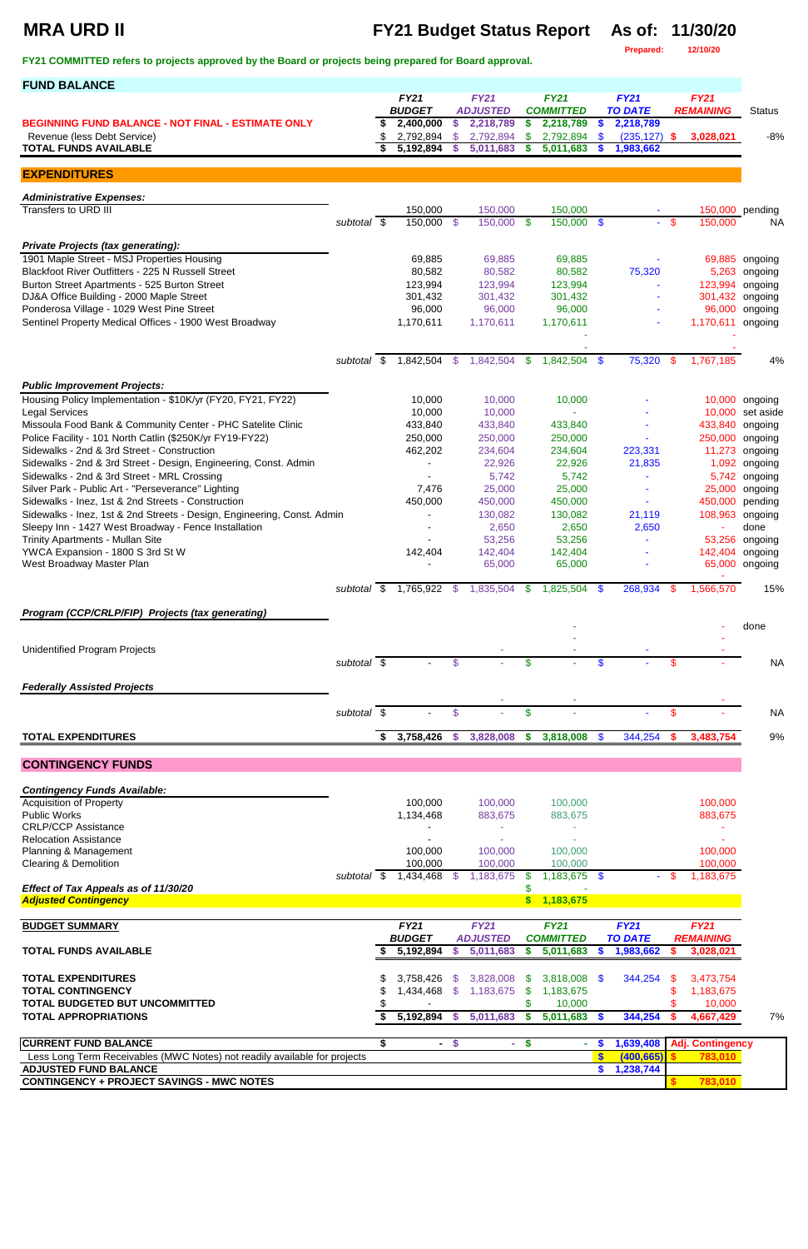## **MRA URD II FY21 Budget Status Report As of: 11/30/20**

**Prepared: 12/10/20**

| <b>FUND BALANCE</b>                                                                               |                        |    |                        |                     |                        |                           |                        |                     |                              |     |                   |                    |
|---------------------------------------------------------------------------------------------------|------------------------|----|------------------------|---------------------|------------------------|---------------------------|------------------------|---------------------|------------------------------|-----|-------------------|--------------------|
|                                                                                                   |                        |    | <b>FY21</b>            |                     | <b>FY21</b>            |                           | <b>FY21</b>            |                     | <b>FY21</b>                  |     | <b>FY21</b>       |                    |
|                                                                                                   |                        |    | <b>BUDGET</b>          |                     | <b>ADJUSTED</b>        |                           | <b>COMMITTED</b>       |                     | <b>TO DATE</b>               |     | <b>REMAINING</b>  | <b>Status</b>      |
| <b>BEGINNING FUND BALANCE - NOT FINAL - ESTIMATE ONLY</b><br>Revenue (less Debt Service)          |                        | \$ | 2,400,000<br>2,792,894 | $\frac{1}{2}$<br>\$ | 2,218,789<br>2,792,894 | \$<br>\$                  | 2,218,789<br>2,792,894 | $\frac{2}{3}$<br>-S | 2,218,789<br>$(235, 127)$ \$ |     | 3,028,021         | $-8%$              |
| <b>TOTAL FUNDS AVAILABLE</b>                                                                      |                        |    | 5,192,894              | <b>S</b>            | 5,011,683              | \$                        | 5,011,683              |                     | 1,983,662                    |     |                   |                    |
|                                                                                                   |                        |    |                        |                     |                        |                           |                        |                     |                              |     |                   |                    |
| <b>EXPENDITURES</b>                                                                               |                        |    |                        |                     |                        |                           |                        |                     |                              |     |                   |                    |
| <b>Administrative Expenses:</b>                                                                   |                        |    |                        |                     |                        |                           |                        |                     |                              |     |                   |                    |
| Transfers to URD III                                                                              |                        |    | 150,000                |                     | 150,000                |                           | 150,000                |                     |                              |     |                   | 150,000 pending    |
|                                                                                                   | subtotal \$            |    | 150,000 \$             |                     | 150,000 \$             |                           | 150,000 \$             |                     | ٠                            | \$  | 150,000           | <b>NA</b>          |
| <b>Private Projects (tax generating):</b>                                                         |                        |    |                        |                     |                        |                           |                        |                     |                              |     |                   |                    |
| 1901 Maple Street - MSJ Properties Housing                                                        |                        |    | 69,885                 |                     | 69,885                 |                           | 69,885                 |                     |                              |     | 69,885            | ongoing            |
| Blackfoot River Outfitters - 225 N Russell Street                                                 |                        |    | 80,582                 |                     | 80,582                 |                           | 80,582                 |                     | 75,320                       |     | 5,263             | ongoing            |
| Burton Street Apartments - 525 Burton Street                                                      |                        |    | 123,994                |                     | 123,994                |                           | 123,994                |                     |                              |     | 123,994           | ongoing            |
| DJ&A Office Building - 2000 Maple Street<br>Ponderosa Village - 1029 West Pine Street             |                        |    | 301,432<br>96,000      |                     | 301,432<br>96,000      |                           | 301,432<br>96,000      |                     |                              |     | 301,432<br>96,000 | ongoing            |
| Sentinel Property Medical Offices - 1900 West Broadway                                            |                        |    | 1,170,611              |                     | 1,170,611              |                           | 1,170,611              |                     |                              |     | 1,170,611         | ongoing<br>ongoing |
|                                                                                                   |                        |    |                        |                     |                        |                           |                        |                     |                              |     |                   |                    |
|                                                                                                   |                        |    |                        |                     |                        |                           |                        |                     |                              |     |                   |                    |
|                                                                                                   | $\sqrt{3}$<br>subtotal |    | 1,842,504              | $\mathcal{S}$       | 1,842,504              | $\mathfrak{F}$            | 1,842,504 \$           |                     | 75,320                       | \$  | 1,767,185         | 4%                 |
| <b>Public Improvement Projects:</b>                                                               |                        |    |                        |                     |                        |                           |                        |                     |                              |     |                   |                    |
| Housing Policy Implementation - \$10K/yr (FY20, FY21, FY22)                                       |                        |    | 10,000                 |                     | 10,000                 |                           | 10,000                 |                     |                              |     |                   | 10,000 ongoing     |
| <b>Legal Services</b>                                                                             |                        |    | 10,000                 |                     | 10,000                 |                           |                        |                     |                              |     | 10,000            | set aside          |
| Missoula Food Bank & Community Center - PHC Satelite Clinic                                       |                        |    | 433,840                |                     | 433,840                |                           | 433,840                |                     |                              |     | 433,840           | ongoing            |
| Police Facility - 101 North Catlin (\$250K/yr FY19-FY22)                                          |                        |    | 250,000                |                     | 250,000                |                           | 250,000                |                     |                              |     | 250,000           | ongoing            |
| Sidewalks - 2nd & 3rd Street - Construction                                                       |                        |    | 462,202                |                     | 234,604                |                           | 234,604                |                     | 223,331                      |     | 11,273            | ongoing            |
| Sidewalks - 2nd & 3rd Street - Design, Engineering, Const. Admin                                  |                        |    |                        |                     | 22,926                 |                           | 22,926                 |                     | 21,835                       |     | 1,092             | ongoing            |
| Sidewalks - 2nd & 3rd Street - MRL Crossing<br>Silver Park - Public Art - "Perseverance" Lighting |                        |    |                        |                     | 5,742<br>25,000        |                           | 5,742<br>25,000        |                     | $\tilde{\phantom{a}}$        |     | 5,742<br>25,000   | ongoing            |
| Sidewalks - Inez, 1st & 2nd Streets - Construction                                                |                        |    | 7,476<br>450,000       |                     | 450,000                |                           | 450,000                |                     | $\blacksquare$               |     | 450,000           | ongoing<br>pending |
| Sidewalks - Inez, 1st & 2nd Streets - Design, Engineering, Const. Admin                           |                        |    |                        |                     | 130,082                |                           | 130,082                |                     | 21,119                       |     | 108,963           | ongoing            |
| Sleepy Inn - 1427 West Broadway - Fence Installation                                              |                        |    |                        |                     | 2,650                  |                           | 2,650                  |                     | 2,650                        |     | ٠                 | done               |
| Trinity Apartments - Mullan Site                                                                  |                        |    |                        |                     | 53,256                 |                           | 53,256                 |                     |                              |     | 53,256            | ongoing            |
| YWCA Expansion - 1800 S 3rd St W                                                                  |                        |    | 142,404                |                     | 142,404                |                           | 142,404                |                     |                              |     | 142,404           | ongoing            |
| West Broadway Master Plan                                                                         |                        |    |                        |                     | 65,000                 |                           | 65,000                 |                     |                              |     | 65,000            | ongoing            |
|                                                                                                   | subtotal $\sqrt{s}$    |    | 1,765,922              | - \$                | 1,835,504              | - \$                      | $1,825,504$ \$         |                     | 268,934                      | -56 | 1,566,570         | 15%                |
|                                                                                                   |                        |    |                        |                     |                        |                           |                        |                     |                              |     |                   |                    |
| Program (CCP/CRLP/FIP) Projects (tax generating)                                                  |                        |    |                        |                     |                        |                           |                        |                     |                              |     |                   | done               |
|                                                                                                   |                        |    |                        |                     |                        |                           |                        |                     |                              |     |                   |                    |
| <b>Unidentified Program Projects</b>                                                              |                        |    |                        |                     |                        |                           |                        |                     |                              |     |                   |                    |
|                                                                                                   | subtotal \$            |    |                        | \$                  |                        | \$                        |                        |                     |                              | \$  |                   | <b>NA</b>          |
| <b>Federally Assisted Projects</b>                                                                |                        |    |                        |                     |                        |                           |                        |                     |                              |     |                   |                    |
|                                                                                                   |                        |    |                        |                     |                        |                           |                        |                     |                              |     |                   |                    |
|                                                                                                   | subtotal \$            |    |                        | \$                  |                        | \$                        |                        |                     |                              | \$  |                   | <b>NA</b>          |
| <b>TOTAL EXPENDITURES</b>                                                                         |                        | S. | 3,758,426              | $\mathbf{\$}$       | 3,828,008              | $\boldsymbol{\mathsf{s}}$ | 3,818,008              | - \$                | 344,254                      |     | 3,483,754         | $9\%$              |
|                                                                                                   |                        |    |                        |                     |                        |                           |                        |                     |                              |     |                   |                    |
| <b>CONTINGENCY FUNDS</b>                                                                          |                        |    |                        |                     |                        |                           |                        |                     |                              |     |                   |                    |
| <b>Contingency Funds Available:</b>                                                               |                        |    |                        |                     |                        |                           |                        |                     |                              |     |                   |                    |
| <b>Acquisition of Property</b>                                                                    |                        |    | 100,000                |                     | 100,000                |                           | 100,000                |                     |                              |     | 100,000           |                    |
| <b>Public Works</b>                                                                               |                        |    | 1,134,468              |                     | 883,675                |                           | 883,675                |                     |                              |     | 883,675           |                    |
| <b>CRLP/CCP Assistance</b><br><b>Relocation Assistance</b>                                        |                        |    |                        |                     |                        |                           |                        |                     |                              |     |                   |                    |
| Planning & Management                                                                             |                        |    | 100,000                |                     | 100,000                |                           | 100,000                |                     |                              |     | 100,000           |                    |
| Clearing & Demolition                                                                             |                        |    | 100,000                |                     | 100,000                |                           | 100,000                |                     |                              |     | 100,000           |                    |
|                                                                                                   | subtotal \$            |    | 1,434,468              |                     | 1,183,675              | S                         | $1,183,675$ \$         |                     |                              |     | 1,183,675         |                    |
| Effect of Tax Appeals as of 11/30/20<br><b>Adjusted Contingency</b>                               |                        |    |                        |                     |                        | \$<br>$\boldsymbol{\$}$   | 1,183,675              |                     |                              |     |                   |                    |
|                                                                                                   |                        |    |                        |                     |                        |                           |                        |                     |                              |     |                   |                    |

| <b>BUDGET SUMMARY</b>                                                     |  | <b>FY21</b>    |     | <b>FY21</b>     |     | <b>FY21</b>      | <b>FY21</b> |                | FY21 |                         |    |
|---------------------------------------------------------------------------|--|----------------|-----|-----------------|-----|------------------|-------------|----------------|------|-------------------------|----|
|                                                                           |  | <b>BUDGET</b>  |     | <b>ADJUSTED</b> |     | <b>COMMITTED</b> |             | <b>TO DATE</b> |      | <b>REMAINING</b>        |    |
| <b>TOTAL FUNDS AVAILABLE</b>                                              |  | 5,192,894      |     | 5,011,683       |     | 5,011,683        |             | 1,983,662      |      | 3,028,021               |    |
| <b>TOTAL EXPENDITURES</b>                                                 |  | 3.758.426      | -SS | 3.828.008       | -SS | $3.818.008$ \$   |             | 344.254        |      | 3,473,754               |    |
| <b>TOTAL CONTINGENCY</b>                                                  |  | $.434.468$ \$  |     | 1,183,675 \$    |     | 1,183,675        |             |                |      | 1,183,675               |    |
| <b>TOTAL BUDGETED BUT UNCOMMITTED</b>                                     |  |                |     |                 |     | 10.000           |             |                |      | 10,000                  |    |
| <b>TOTAL APPROPRIATIONS</b>                                               |  | 5,192,894      |     | 5,011,683       |     | 5,011,683        |             | 344,254        |      | 4,667,429               | 7% |
| <b>ICURRENT FUND BALANCE</b>                                              |  | $\blacksquare$ |     | $\blacksquare$  |     | ٠                |             | 1,639,408      |      | <b>Adj. Contingency</b> |    |
| Less Long Term Receivables (MWC Notes) not readily available for projects |  |                |     |                 |     |                  |             | (400, 665)     |      | 783,010                 |    |
| <b>ADJUSTED FUND BALANCE</b>                                              |  |                |     |                 |     |                  |             | 1,238,744      |      |                         |    |
| <b>CONTINGENCY + PROJECT SAVINGS - MWC NOTES</b>                          |  |                |     |                 |     |                  |             |                |      | 783,010                 |    |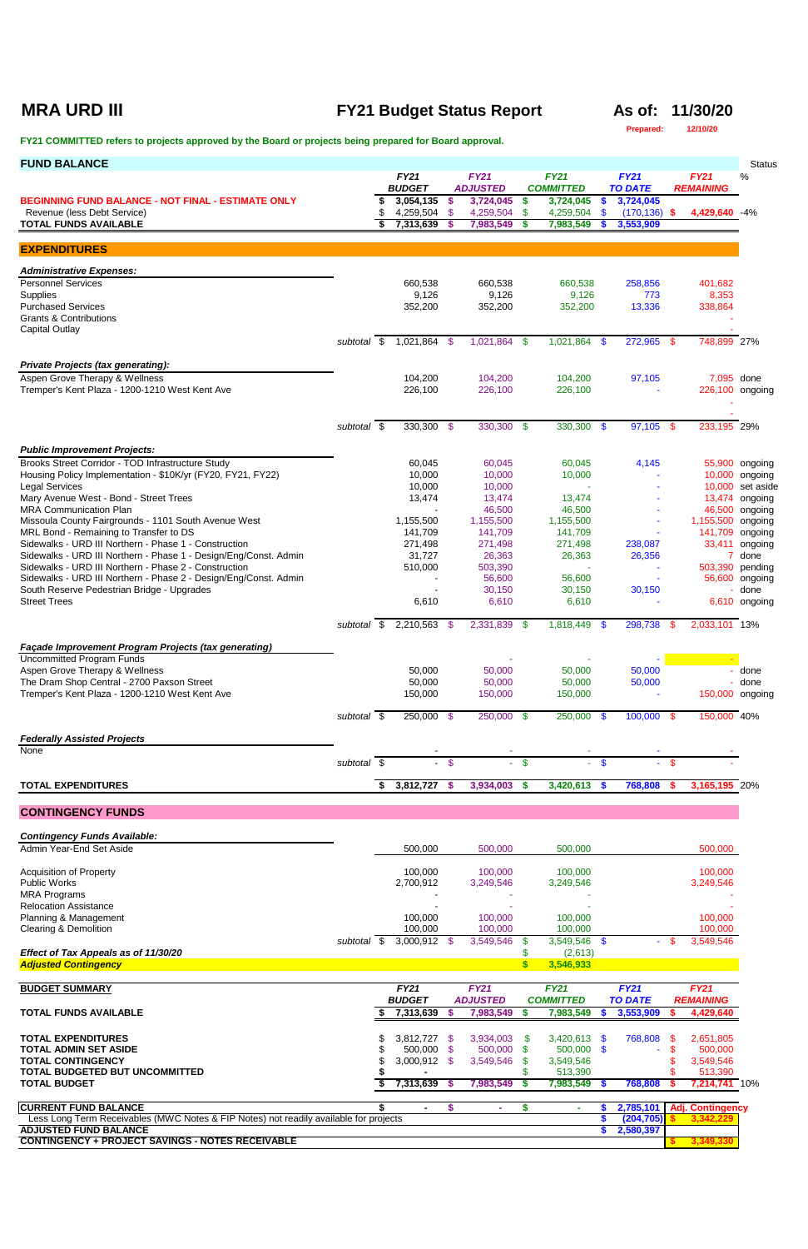## **MRA URD III FY21 Budget Status Report As of: 11/30/20**

**Prepared: 12/10/20**

| <b>FUND BALANCE</b>                                                                                                       |                          |                              |                         |                                |                         |                                 |                                  |                               |          |                                 | <b>Status</b>                      |
|---------------------------------------------------------------------------------------------------------------------------|--------------------------|------------------------------|-------------------------|--------------------------------|-------------------------|---------------------------------|----------------------------------|-------------------------------|----------|---------------------------------|------------------------------------|
|                                                                                                                           |                          | <b>FY21</b><br><b>BUDGET</b> |                         | <b>FY21</b><br><b>ADJUSTED</b> |                         | <b>FY21</b><br><b>COMMITTED</b> |                                  | <b>FY21</b><br><b>TO DATE</b> |          | <b>FY21</b><br><b>REMAINING</b> | %                                  |
| <b>BEGINNING FUND BALANCE - NOT FINAL - ESTIMATE ONLY</b><br>Revenue (less Debt Service)                                  |                          | 3,054,135<br>4,259,504 \$    | - \$                    | 3,724,045<br>4,259,504         | $\frac{2}{3}$<br>\$     | 3,724,045<br>4,259,504          | $\boldsymbol{\mathsf{s}}$<br>-\$ | 3,724,045<br>$(170, 136)$ \$  |          | 4,429,640 -4%                   |                                    |
| <b>TOTAL FUNDS AVAILABLE</b>                                                                                              |                          | 7,313,639                    | -\$                     | 7,983,549                      | S                       | 7,983,549                       |                                  | 3,553,909                     |          |                                 |                                    |
| <b>EXPENDITURES</b>                                                                                                       |                          |                              |                         |                                |                         |                                 |                                  |                               |          |                                 |                                    |
| <b>Administrative Expenses:</b>                                                                                           |                          |                              |                         |                                |                         |                                 |                                  |                               |          |                                 |                                    |
| <b>Personnel Services</b><br>Supplies                                                                                     |                          | 660,538<br>9,126             |                         | 660,538<br>9,126               |                         | 660,538<br>9,126                |                                  | 258,856<br>773                |          | 401,682<br>8,353                |                                    |
| <b>Purchased Services</b><br><b>Grants &amp; Contributions</b>                                                            |                          | 352,200                      |                         | 352,200                        |                         | 352,200                         |                                  | 13,336                        |          | 338,864                         |                                    |
| <b>Capital Outlay</b>                                                                                                     |                          |                              |                         |                                |                         |                                 |                                  |                               |          |                                 |                                    |
|                                                                                                                           | subtotal \$              | 1,021,864 \$                 |                         | 1,021,864 \$                   |                         | 1,021,864 \$                    |                                  | 272,965 \$                    |          | 748,899 27%                     |                                    |
| <b>Private Projects (tax generating):</b><br>Aspen Grove Therapy & Wellness                                               |                          | 104,200                      |                         | 104,200                        |                         | 104,200                         |                                  | 97,105                        |          | 7,095 done                      |                                    |
| Tremper's Kent Plaza - 1200-1210 West Kent Ave                                                                            |                          | 226,100                      |                         | 226,100                        |                         | 226,100                         |                                  |                               |          | 226,100 ongoing                 |                                    |
|                                                                                                                           |                          |                              |                         |                                |                         |                                 |                                  |                               |          |                                 |                                    |
|                                                                                                                           | subtotal \$              | $330,300$ \$                 |                         | $330,300$ \$                   |                         | 330,300 \$                      |                                  | $97,105$ \$                   |          | 233,195 29%                     |                                    |
| <b>Public Improvement Projects:</b><br>Brooks Street Corridor - TOD Infrastructure Study                                  |                          | 60,045                       |                         | 60,045                         |                         | 60,045                          |                                  | 4,145                         |          |                                 | 55,900 ongoing                     |
| Housing Policy Implementation - \$10K/yr (FY20, FY21, FY22)                                                               |                          | 10,000                       |                         | 10,000                         |                         | 10,000                          |                                  |                               |          |                                 | 10,000 ongoing                     |
| <b>Legal Services</b><br>Mary Avenue West - Bond - Street Trees                                                           |                          | 10,000<br>13,474             |                         | 10,000<br>13,474               |                         | 13,474                          |                                  |                               |          |                                 | 10,000 set aside<br>13,474 ongoing |
| <b>MRA Communication Plan</b><br>Missoula County Fairgrounds - 1101 South Avenue West                                     |                          | 1,155,500                    |                         | 46,500<br>1,155,500            |                         | 46,500<br>1,155,500             |                                  |                               |          | 1,155,500 ongoing               | 46,500 ongoing                     |
| MRL Bond - Remaining to Transfer to DS                                                                                    |                          | 141,709                      |                         | 141,709                        |                         | 141,709                         |                                  |                               |          | 141,709 ongoing                 |                                    |
| Sidewalks - URD III Northern - Phase 1 - Construction<br>Sidewalks - URD III Northern - Phase 1 - Design/Eng/Const. Admin |                          | 271,498<br>31,727            |                         | 271,498<br>26,363              |                         | 271,498<br>26,363               |                                  | 238,087<br>26,356             |          |                                 | 33,411 ongoing<br>7 done           |
| Sidewalks - URD III Northern - Phase 2 - Construction<br>Sidewalks - URD III Northern - Phase 2 - Design/Eng/Const. Admin |                          | 510,000                      |                         | 503,390<br>56,600              |                         | $\equiv$<br>56,600              |                                  |                               |          | 503,390 pending                 | 56,600 ongoing                     |
| South Reserve Pedestrian Bridge - Upgrades<br><b>Street Trees</b>                                                         |                          | 6,610                        |                         | 30,150<br>6,610                |                         | 30,150<br>6,610                 |                                  | 30,150                        |          |                                 | done<br>6,610 ongoing              |
|                                                                                                                           |                          |                              |                         |                                |                         |                                 |                                  |                               |          |                                 |                                    |
|                                                                                                                           | subtotal $\overline{\$}$ | 2,210,563 \$                 |                         | 2,331,839                      | - \$                    | 1,818,449 \$                    |                                  | 298,738                       | -S       | 2,033,101 13%                   |                                    |
| Façade Improvement Program Projects (tax generating)<br><b>Uncommitted Program Funds</b>                                  |                          |                              |                         |                                |                         |                                 |                                  |                               |          |                                 |                                    |
| Aspen Grove Therapy & Wellness<br>The Dram Shop Central - 2700 Paxson Street                                              |                          | 50,000<br>50,000             |                         | 50,000<br>50,000               |                         | 50,000<br>50,000                |                                  | 50,000                        |          |                                 | done<br>- done                     |
| Tremper's Kent Plaza - 1200-1210 West Kent Ave                                                                            |                          | 150,000                      |                         | 150,000                        |                         | 150,000                         |                                  | 50,000                        |          | 150,000 ongoing                 |                                    |
|                                                                                                                           | subtotal \$              | 250,000 \$                   |                         | 250,000 \$                     |                         | $250,000$ \$                    |                                  | $100,000$ \$                  |          | 150,000 40%                     |                                    |
| <b>Federally Assisted Projects</b>                                                                                        |                          |                              |                         |                                |                         |                                 |                                  |                               |          |                                 |                                    |
| None                                                                                                                      | subtotal $\overline{\$}$ |                              | $\sqrt[6]{\frac{1}{2}}$ |                                | $\overline{\mathbf{s}}$ |                                 | \$                               |                               | \$       |                                 |                                    |
|                                                                                                                           |                          | \$<br>3,812,727              |                         | 3,934,003                      |                         |                                 |                                  | 768,808                       |          | 3,165,195 20%                   |                                    |
| <b>TOTAL EXPENDITURES</b>                                                                                                 |                          |                              | - \$                    |                                | \$                      | 3,420,613                       | - \$                             |                               | \$       |                                 |                                    |
| <b>CONTINGENCY FUNDS</b>                                                                                                  |                          |                              |                         |                                |                         |                                 |                                  |                               |          |                                 |                                    |
| <b>Contingency Funds Available:</b><br>Admin Year-End Set Aside                                                           |                          | 500,000                      |                         | 500,000                        |                         | 500,000                         |                                  |                               |          | 500,000                         |                                    |
|                                                                                                                           |                          |                              |                         |                                |                         |                                 |                                  |                               |          |                                 |                                    |
| <b>Acquisition of Property</b><br><b>Public Works</b>                                                                     |                          | 100,000<br>2,700,912         |                         | 100,000<br>3,249,546           |                         | 100,000<br>3,249,546            |                                  |                               |          | 100,000<br>3,249,546            |                                    |
| <b>MRA Programs</b><br><b>Relocation Assistance</b>                                                                       |                          |                              |                         |                                |                         |                                 |                                  |                               |          |                                 |                                    |
| Planning & Management<br><b>Clearing &amp; Demolition</b>                                                                 |                          | 100,000<br>100,000           |                         | 100,000<br>100,000             |                         | 100,000<br>100,000              |                                  |                               |          | 100,000<br>100,000              |                                    |
|                                                                                                                           | subtotal \$              | $\overline{3,000,912}$ \$    |                         | 3,549,546                      | \$.                     | $\overline{3,5}$ 49,546 \$      |                                  |                               |          | 3,549,546                       |                                    |
| Effect of Tax Appeals as of 11/30/20<br><b>Adjusted Contingency</b>                                                       |                          |                              |                         |                                | \$<br>\$                | (2,613)<br>3,546,933            |                                  |                               |          |                                 |                                    |
| <b>BUDGET SUMMARY</b>                                                                                                     |                          | <b>FY21</b>                  |                         | <b>FY21</b>                    |                         | <b>FY21</b>                     |                                  | <b>FY21</b>                   |          | <b>FY21</b>                     |                                    |
| <b>TOTAL FUNDS AVAILABLE</b>                                                                                              |                          | <b>BUDGET</b><br>7,313,639   | -S                      | <b>ADJUSTED</b><br>7,983,549   | \$                      | <b>COMMITTED</b><br>7,983,549   |                                  | <b>TO DATE</b><br>3,553,909   |          | <b>REMAINING</b><br>4,429,640   |                                    |
|                                                                                                                           |                          |                              |                         |                                |                         |                                 |                                  |                               |          |                                 |                                    |
| <b>TOTAL EXPENDITURES</b><br><b>TOTAL ADMIN SET ASIDE</b>                                                                 |                          | 3,812,727 \$<br>500,000 \$   |                         | 3,934,003<br>500,000           | \$<br>\$                | 3,420,613<br>500,000 \$         | - \$                             | 768,808                       | \$<br>\$ | 2,651,805<br>500,000            |                                    |
| <b>TOTAL CONTINGENCY</b><br>TOTAL BUDGETED BUT UNCOMMITTED                                                                |                          | 3,000,912                    | \$                      | 3,549,546                      | \$                      | 3,549,546<br>513,390            |                                  |                               |          | 3,549,546<br>513,390            |                                    |
| <b>TOTAL BUDGET</b>                                                                                                       |                          | 7,313,639 \$                 |                         | 7,983,549                      | S                       | $7,983,549$ \$                  |                                  | 768,808                       |          | 7,214,741 10%                   |                                    |
| <b>CURRENT FUND BALANCE</b>                                                                                               |                          | $\blacksquare$               | \$                      | ٠                              | \$                      | ٠                               |                                  | 2,785,101                     |          | <b>Adj. Contingency</b>         |                                    |
| Less Long Term Receivables (MWC Notes & FIP Notes) not readily available for projects<br><b>ADJUSTED FUND BALANCE</b>     |                          |                              |                         |                                |                         |                                 |                                  | (204, 705)<br>2,580,397       |          | 3,342,229                       |                                    |
| <b>CONTINGENCY + PROJECT SAVINGS - NOTES RECEIVABLE</b>                                                                   |                          |                              |                         |                                |                         |                                 |                                  |                               |          | 3,349,330                       |                                    |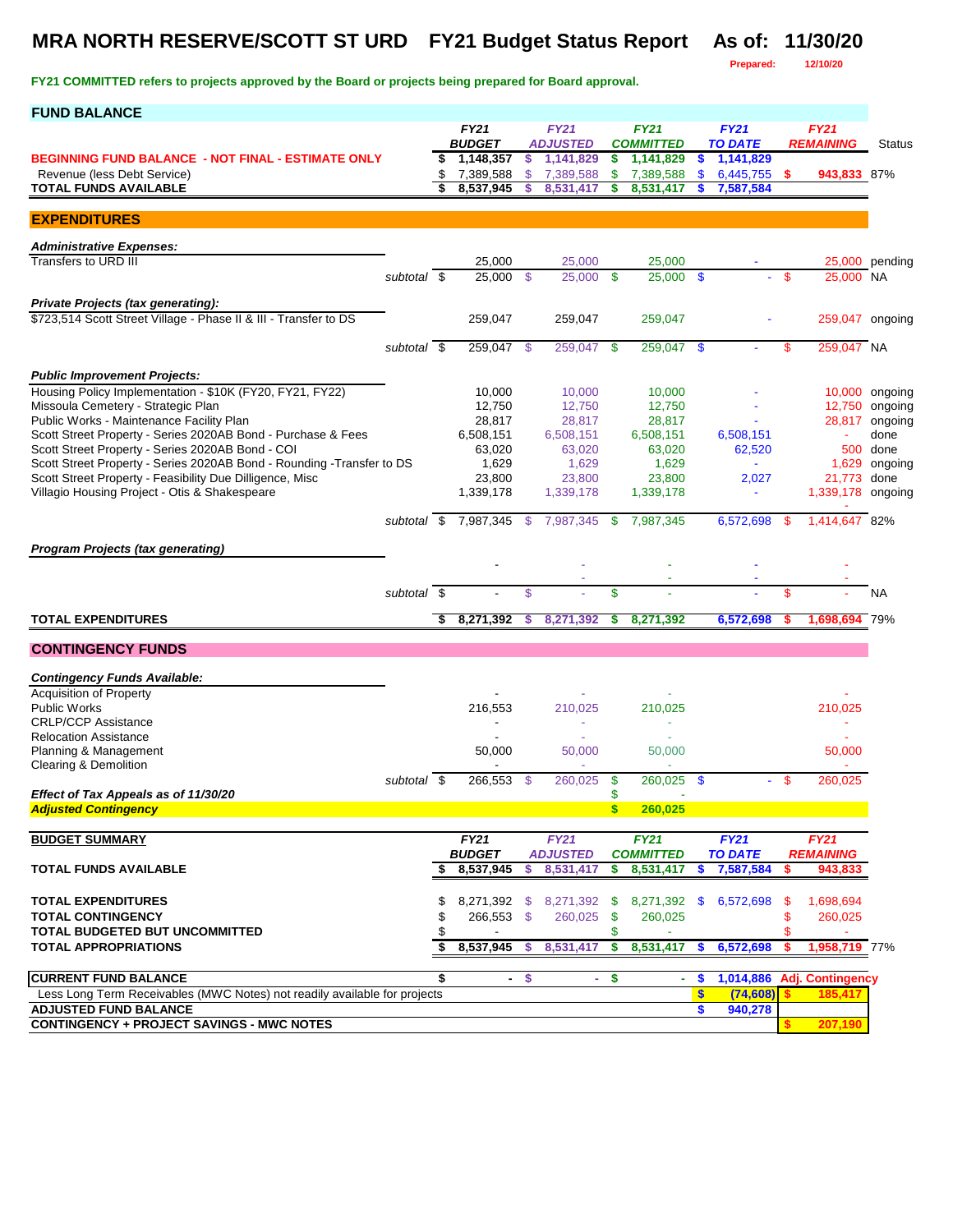# **MRA NORTH RESERVE/SCOTT ST URD FY21 Budget Status Report As of: 11/30/20**

**FY21 COMMITTED refers to projects approved by the Board or projects being prepared for Board approval.** 

**Prepared: 12/10/20**

| <b>FUND BALANCE</b>                                                                                                       |                          |          |                        |         |                        |               |                        |                  |                        |      |                         |                           |
|---------------------------------------------------------------------------------------------------------------------------|--------------------------|----------|------------------------|---------|------------------------|---------------|------------------------|------------------|------------------------|------|-------------------------|---------------------------|
|                                                                                                                           |                          |          | <b>FY21</b>            |         | <b>FY21</b>            |               | <b>FY21</b>            |                  | <b>FY21</b>            |      | <b>FY21</b>             |                           |
|                                                                                                                           |                          |          | <b>BUDGET</b>          |         | <b>ADJUSTED</b>        |               | <b>COMMITTED</b>       |                  | <b>TO DATE</b>         |      | <b>REMAINING</b>        | <b>Status</b>             |
| <b>BEGINNING FUND BALANCE - NOT FINAL - ESTIMATE ONLY</b>                                                                 |                          | \$       | 1,148,357              | \$      | 1,141,829              | \$            | 1,141,829              | $\mathbf{\$}$    | 1,141,829              |      |                         |                           |
| Revenue (less Debt Service)<br><b>TOTAL FUNDS AVAILABLE</b>                                                               |                          | \$<br>\$ | 7,389,588<br>8,537,945 | \$<br>s | 7,389,588<br>8,531,417 | \$<br>\$      | 7,389,588<br>8,531,417 | \$               | 6,445,755<br>7,587,584 | - \$ | 943,833 87%             |                           |
|                                                                                                                           |                          |          |                        |         |                        |               |                        |                  |                        |      |                         |                           |
| <b>EXPENDITURES</b>                                                                                                       |                          |          |                        |         |                        |               |                        |                  |                        |      |                         |                           |
|                                                                                                                           |                          |          |                        |         |                        |               |                        |                  |                        |      |                         |                           |
| <b>Administrative Expenses:</b>                                                                                           |                          |          |                        |         |                        |               |                        |                  |                        |      |                         |                           |
| Transfers to URD III                                                                                                      | subtotal \$              |          | 25,000<br>25.000       |         | 25,000<br>25,000 \$    |               | 25,000<br>$25,000$ \$  |                  |                        | -\$  | 25,000 NA               | 25,000 pending            |
|                                                                                                                           |                          |          |                        | - \$    |                        |               |                        |                  |                        |      |                         |                           |
| Private Projects (tax generating):                                                                                        |                          |          |                        |         |                        |               |                        |                  |                        |      |                         |                           |
| \$723,514 Scott Street Village - Phase II & III - Transfer to DS                                                          |                          |          | 259,047                |         | 259,047                |               | 259,047                |                  |                        |      | 259,047 ongoing         |                           |
|                                                                                                                           |                          |          |                        |         |                        |               |                        |                  |                        |      |                         |                           |
|                                                                                                                           | subtotal $\overline{\$}$ |          | 259,047 \$             |         | 259,047                | -\$           | $259,047$ \$           |                  |                        | \$   | 259,047 NA              |                           |
| <b>Public Improvement Projects:</b>                                                                                       |                          |          |                        |         |                        |               |                        |                  |                        |      |                         |                           |
| Housing Policy Implementation - \$10K (FY20, FY21, FY22)                                                                  |                          |          | 10,000                 |         | 10,000                 |               | 10,000                 |                  |                        |      |                         | 10,000 ongoing            |
| Missoula Cemetery - Strategic Plan                                                                                        |                          |          | 12,750                 |         | 12,750                 |               | 12,750                 |                  |                        |      |                         | 12,750 ongoing            |
| Public Works - Maintenance Facility Plan                                                                                  |                          |          | 28,817                 |         | 28,817                 |               | 28,817                 |                  |                        |      |                         | 28,817 ongoing            |
| Scott Street Property - Series 2020AB Bond - Purchase & Fees                                                              |                          |          | 6,508,151              |         | 6,508,151              |               | 6,508,151              |                  | 6,508,151              |      |                         | done                      |
| Scott Street Property - Series 2020AB Bond - COI<br>Scott Street Property - Series 2020AB Bond - Rounding -Transfer to DS |                          |          | 63,020<br>1,629        |         | 63,020<br>1,629        |               | 63,020<br>1,629        |                  | 62,520                 |      |                         | 500 done<br>1,629 ongoing |
| Scott Street Property - Feasibility Due Dilligence, Misc                                                                  |                          |          | 23,800                 |         | 23,800                 |               | 23,800                 |                  | 2,027                  |      | 21,773 done             |                           |
| Villagio Housing Project - Otis & Shakespeare                                                                             |                          |          | 1,339,178              |         | 1,339,178              |               | 1,339,178              |                  | $\blacksquare$         |      | 1,339,178 ongoing       |                           |
|                                                                                                                           |                          |          |                        |         |                        |               |                        |                  |                        |      |                         |                           |
|                                                                                                                           | subtotal \$              |          | 7,987,345              | \$      | 7,987,345              | $\mathbf{\$}$ | 7,987,345              |                  | 6,572,698              | -\$  | 1,414,647 82%           |                           |
| <b>Program Projects (tax generating)</b>                                                                                  |                          |          |                        |         |                        |               |                        |                  |                        |      |                         |                           |
|                                                                                                                           |                          |          |                        |         |                        |               |                        |                  |                        |      |                         |                           |
|                                                                                                                           |                          |          |                        |         |                        |               |                        |                  |                        |      |                         |                           |
|                                                                                                                           | subtotal $\overline{\$}$ |          |                        | \$      |                        | \$            |                        |                  |                        | \$   |                         | <b>NA</b>                 |
| <b>TOTAL EXPENDITURES</b>                                                                                                 |                          | \$       | 8,271,392              | s       | 8,271,392              | \$            | 8,271,392              |                  | 6,572,698              |      | 1,698,694 79%           |                           |
|                                                                                                                           |                          |          |                        |         |                        |               |                        |                  |                        |      |                         |                           |
| <b>CONTINGENCY FUNDS</b>                                                                                                  |                          |          |                        |         |                        |               |                        |                  |                        |      |                         |                           |
|                                                                                                                           |                          |          |                        |         |                        |               |                        |                  |                        |      |                         |                           |
| <b>Contingency Funds Available:</b><br>Acquisition of Property                                                            |                          |          |                        |         |                        |               |                        |                  |                        |      |                         |                           |
| <b>Public Works</b>                                                                                                       |                          |          | 216,553                |         | 210,025                |               | 210,025                |                  |                        |      | 210,025                 |                           |
| <b>CRLP/CCP Assistance</b>                                                                                                |                          |          |                        |         |                        |               |                        |                  |                        |      | ٠                       |                           |
| <b>Relocation Assistance</b>                                                                                              |                          |          |                        |         |                        |               |                        |                  |                        |      |                         |                           |
| Planning & Management                                                                                                     |                          |          | 50,000                 |         | 50,000                 |               | 50,000                 |                  |                        |      | 50,000                  |                           |
| Clearing & Demolition                                                                                                     |                          |          | 266,553                |         | 260,025                |               | 260,025                |                  |                        | - \$ | 260,025                 |                           |
| Effect of Tax Appeals as of 11/30/20                                                                                      | subtotal \$              |          |                        | -\$     |                        | \$<br>\$      |                        | - \$             |                        |      |                         |                           |
| <b>Adjusted Contingency</b>                                                                                               |                          |          |                        |         |                        | $\mathbf{s}$  | 260,025                |                  |                        |      |                         |                           |
|                                                                                                                           |                          |          |                        |         |                        |               |                        |                  |                        |      |                         |                           |
| <b>BUDGET SUMMARY</b>                                                                                                     |                          |          | <b>FY21</b>            |         | <b>FY21</b>            |               | <b>FY21</b>            |                  | FY21                   |      | <b>FY21</b>             |                           |
|                                                                                                                           |                          |          | <b>BUDGET</b>          |         | <b>ADJUSTED</b>        |               | <b>COMMITTED</b>       |                  | <b>TO DATE</b>         |      | <b>REMAINING</b>        |                           |
| <b>TOTAL FUNDS AVAILABLE</b>                                                                                              |                          | \$       | 8,537,945              | \$      | 8,531,417              | \$            | 8,531,417              | \$               | 7,587,584              | \$   | 943,833                 |                           |
| <b>TOTAL EXPENDITURES</b>                                                                                                 |                          | \$       |                        |         | 8,271,392 \$ 8,271,392 | <b>S</b>      | 8,271,392              | S.               | 6,572,698              | -\$  | 1,698,694               |                           |
| <b>TOTAL CONTINGENCY</b>                                                                                                  |                          | \$       | 266,553 \$             |         | 260,025                | \$            | 260,025                |                  |                        | \$   | 260,025                 |                           |
| <b>TOTAL BUDGETED BUT UNCOMMITTED</b>                                                                                     |                          | \$       |                        |         |                        | \$            |                        |                  |                        | \$   |                         |                           |
| TOTAL APPROPRIATIONS                                                                                                      |                          | \$       | 8,537,945              | s.      | 8,531,417              | \$            | 8,531,417              | \$               | 6,572,698              | s    | 1,958,719 77%           |                           |
|                                                                                                                           |                          |          |                        |         |                        |               |                        |                  |                        |      |                         |                           |
| <b>CURRENT FUND BALANCE</b>                                                                                               |                          | \$       |                        | $-$ \$  | ÷.                     | $\mathbf{s}$  | ÷.                     | \$               | 1,014,886              |      | <b>Adj. Contingency</b> |                           |
| Less Long Term Receivables (MWC Notes) not readily available for projects                                                 |                          |          |                        |         |                        |               |                        | $\boldsymbol{s}$ | (74, 608)              |      | 185,417                 |                           |
| <b>ADJUSTED FUND BALANCE</b><br><b>CONTINGENCY + PROJECT SAVINGS - MWC NOTES</b>                                          |                          |          |                        |         |                        |               |                        | S                | 940,278                |      | 207,190                 |                           |
|                                                                                                                           |                          |          |                        |         |                        |               |                        |                  |                        |      |                         |                           |